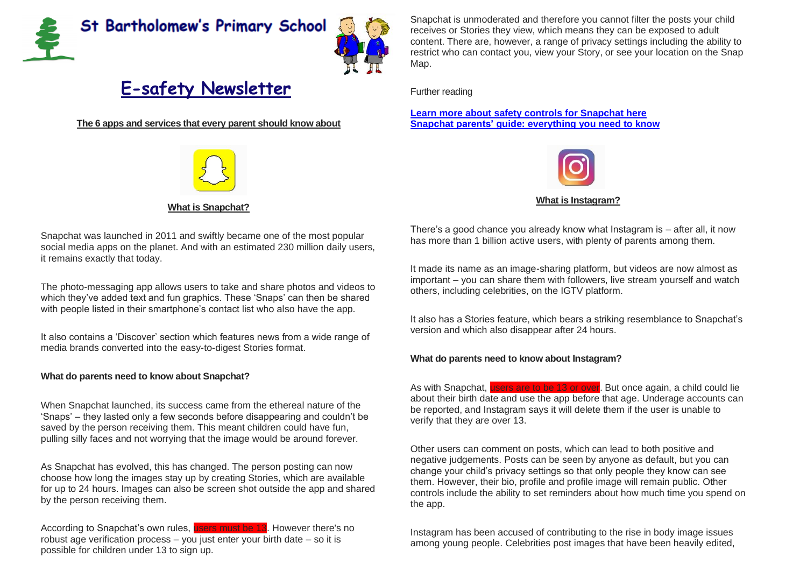



## **E-safety Newsletter**

**The 6 apps and services that every parent should know about**



## **What is Snapchat?**

Snapchat was launched in 2011 and swiftly became one of the most popular social media apps on the planet. And with an estimated 230 million daily users, it remains exactly that today.

The photo-messaging app allows users to take and share photos and videos to which they've added text and fun graphics. These 'Snaps' can then be shared with people listed in their smartphone's contact list who also have the app.

It also contains a 'Discover' section which features news from a wide range of media brands converted into the easy-to-digest Stories format.

## **What do parents need to know about Snapchat?**

When Snapchat launched, its success came from the ethereal nature of the 'Snaps' – they lasted only a few seconds before disappearing and couldn't be saved by the person receiving them. This meant children could have fun, pulling silly faces and not worrying that the image would be around forever.

As Snapchat has evolved, this has changed. The person posting can now choose how long the images stay up by creating Stories, which are available for up to 24 hours. Images can also be screen shot outside the app and shared by the person receiving them.

According to Snapchat's own rules, users must be 13. However there's no robust age verification process – you just enter your birth date – so it is possible for children under 13 to sign up.

Snapchat is unmoderated and therefore you cannot filter the posts your child receives or Stories they view, which means they can be exposed to adult content. There are, however, a range of privacy settings including the ability to restrict who can contact you, view your Story, or see your location on the Snap Map.

Further reading

**Learn more about safety controls for [Snapchat](https://www.snap.com/safety/safety-center/) here Snapchat parents' guide: [everything](https://parentinfo.org/article/snapchat-a-parents-guide) you need to know**



## **What is Instagram?**

There's a good chance you already know what Instagram is – after all, it now has more than 1 billion active users, with plenty of parents among them.

It made its name as an image-sharing platform, but videos are now almost as important – you can share them with followers, live stream yourself and watch others, including celebrities, on the IGTV platform.

It also has a Stories feature, which bears a striking resemblance to Snapchat's version and which also disappear after 24 hours.

## **What do parents need to know about Instagram?**

As with Snapchat, users are to be 13 or over. But once again, a child could lie about their birth date and use the app before that age. Underage accounts can be reported, and Instagram says it will delete them if the user is unable to verify that they are over 13.

Other users can comment on posts, which can lead to both positive and negative judgements. Posts can be seen by anyone as default, but you can change your child's privacy settings so that only people they know can see them. However, their bio, profile and profile image will remain public. Other controls include the ability to set reminders about how much time you spend on the app.

Instagram has been accused of contributing to the rise in body image issues among young people. Celebrities post images that have been heavily edited,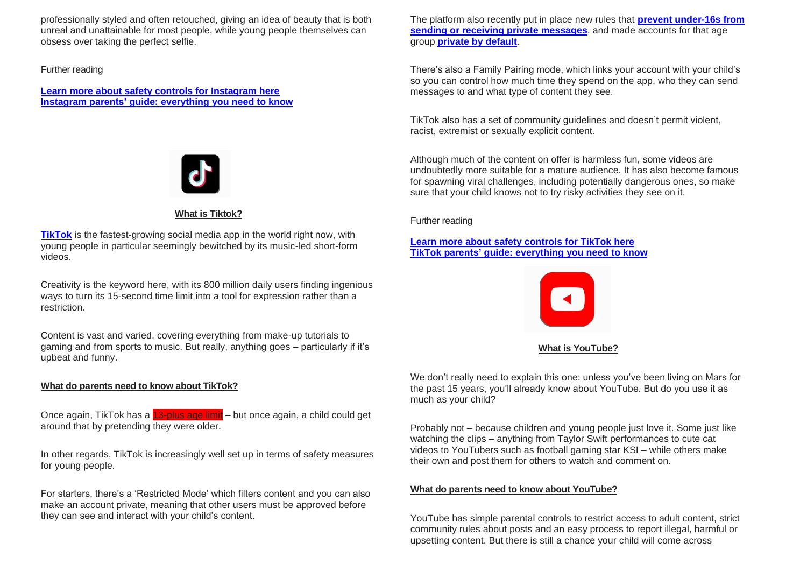professionally styled and often retouched, giving an idea of beauty that is both unreal and unattainable for most people, while young people themselves can obsess over taking the perfect selfie.

## Further reading

**Learn more about safety controls for [Instagram](https://help.instagram.com/154475974694511) here Instagram parents' guide: [everything](https://parentinfo.org/article/instagram-what-are-the-issues) you need to know**



## **What is Tiktok?**

**[TikTok](https://parentinfo.org/article/tiktok-what-parents-need-to-know)** is the fastest-growing social media app in the world right now, with young people in particular seemingly bewitched by its music-led short-form videos.

Creativity is the keyword here, with its 800 million daily users finding ingenious ways to turn its 15-second time limit into a tool for expression rather than a restriction.

Content is vast and varied, covering everything from make-up tutorials to gaming and from sports to music. But really, anything goes – particularly if it's upbeat and funny.

## **What do parents need to know about TikTok?**

Once again, TikTok has a 13-plus age limit – but once again, a child could get around that by pretending they were older.

In other regards, TikTok is increasingly well set up in terms of safety measures for young people.

For starters, there's a 'Restricted Mode' which filters content and you can also make an account private, meaning that other users must be approved before they can see and interact with your child's content.

The platform also recently put in place new rules that **prevent [under-16s](https://parentzone.org.uk/article/tiktok-update-bans-under-16s-private-messaging) from sending or receiving private [messages](https://parentzone.org.uk/article/tiktok-update-bans-under-16s-private-messaging)**, and made accounts for that age group **[private](https://parentzone.org.uk/article/tiktok-tightens-privacy-controls-under-16s) by default**.

There's also a Family Pairing mode, which links your account with your child's so you can control how much time they spend on the app, who they can send messages to and what type of content they see.

TikTok also has a set of community guidelines and doesn't permit violent, racist, extremist or sexually explicit content.

Although much of the content on offer is harmless fun, some videos are undoubtedly more suitable for a mature audience. It has also become famous for spawning viral challenges, including potentially dangerous ones, so make sure that your child knows not to try risky activities they see on it.

Further reading

## **Learn more about safety [controls](https://support.tiktok.com/en/privacy-safety/for-parents-en) for TikTok here TikTok parents' guide: [everything](https://parentinfo.org/article/tiktok-what-parents-need-to-know) you need to know**



**What is YouTube?**

We don't really need to explain this one: unless you've been living on Mars for the past 15 years, you'll already know about YouTube. But do you use it as much as your child?

Probably not – because children and young people just love it. Some just like watching the clips – anything from Taylor Swift performances to cute cat videos to YouTubers such as football gaming star KSI – while others make their own and post them for others to watch and comment on.

## **What do parents need to know about YouTube?**

YouTube has simple parental controls to restrict access to adult content, strict community rules about posts and an easy process to report illegal, harmful or upsetting content. But there is still a chance your child will come across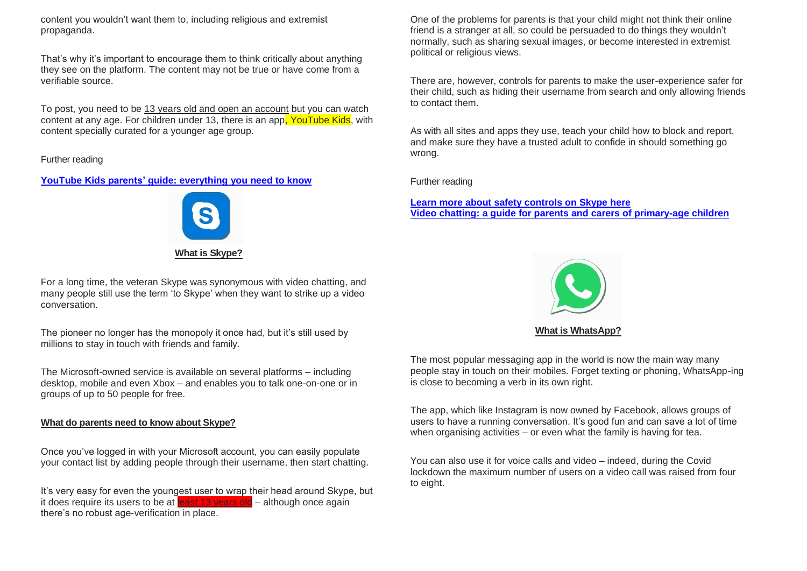content you wouldn't want them to, including religious and extremist propaganda.

That's why it's important to encourage them to think critically about anything they see on the platform. The content may not be true or have come from a verifiable source.

To post, you need to be 13 years old and open an account but you can watch content at any age. For children under 13, there is an app. YouTube Kids, with content specially curated for a younger age group.

Further reading

## **YouTube Kids parents' guide: [everything](https://parentinfo.org/article/youtube-what-parents-need-to-know) you need to know**



**What is Skype?**

For a long time, the veteran Skype was synonymous with video chatting, and many people still use the term 'to Skype' when they want to strike up a video conversation.

The pioneer no longer has the monopoly it once had, but it's still used by millions to stay in touch with friends and family.

The Microsoft-owned service is available on several platforms – including desktop, mobile and even Xbox – and enables you to talk one-on-one or in groups of up to 50 people for free.

## **What do parents need to know about Skype?**

Once you've logged in with your Microsoft account, you can easily populate your contact list by adding people through their username, then start chatting.

It's very easy for even the youngest user to wrap their head around Skype, but it does require its users to be at least 13 years old – although once again there's no robust age-verification in place.

One of the problems for parents is that your child might not think their online friend is a stranger at all, so could be persuaded to do things they wouldn't normally, such as sharing sexual images, or become interested in extremist political or religious views.

There are, however, controls for parents to make the user-experience safer for their child, such as hiding their username from search and only allowing friends to contact them.

As with all sites and apps they use, teach your child how to block and report, and make sure they have a trusted adult to confide in should something go wrong.

Further reading

**Learn more about safety [controls](https://support.skype.com/en/skype/all/privacy-security/) on Skype here Video chatting: a guide for parents and carers of [primary-age](https://parentinfo.org/article/video-chatting-a-guide-for-parents-and-carers-of-primary-school-age-children) children**



The most popular messaging app in the world is now the main way many people stay in touch on their mobiles. Forget texting or phoning, WhatsApp-ing is close to becoming a verb in its own right.

The app, which like Instagram is now owned by Facebook, allows groups of users to have a running conversation. It's good fun and can save a lot of time when organising activities – or even what the family is having for tea.

You can also use it for voice calls and video – indeed, during the Covid lockdown the maximum number of users on a video call was raised from four to eight.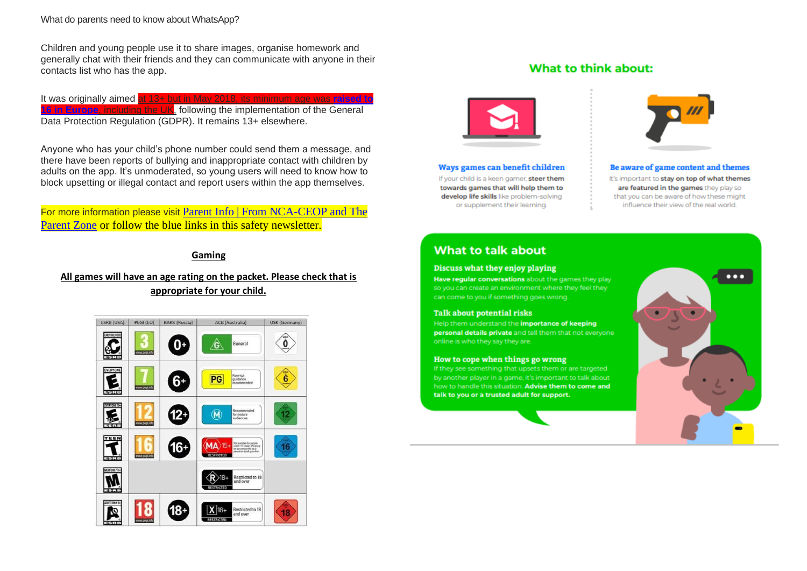What do parents need to know about WhatsApp?

Children and young people use it to share images, organise homework and generally chat with their friends and they can communicate with anyone in their contacts list who has the app.

It was originally aimed at 13+ but in May 2018, its minimum age was **[raised](https://www.theguardian.com/technology/2018/apr/25/whatsapp-raises-minimum-age-16-europeans-facebook-gdpr-eu) to 16 in [Europe](https://www.theguardian.com/technology/2018/apr/25/whatsapp-raises-minimum-age-16-europeans-facebook-gdpr-eu)**, including the UK, following the implementation of the General Data Protection Regulation (GDPR). It remains 13+ elsewhere.

Anyone who has your child's phone number could send them a message, and there have been reports of bullying and inappropriate contact with children by adults on the app. It's unmoderated, so young users will need to know how to block upsetting or illegal contact and report users within the app themselves.

For more information please visit [Parent Info | From NCA-CEOP and The](https://parentinfo.org/)  [Parent Zone](https://parentinfo.org/) or follow the blue links in this safety newsletter.

## **Gaming**

## **All games will have an age rating on the packet. Please check that is appropriate for your child.**



## What to think about:



Ways games can benefit children If your child is a keen gamer, steer them towards games that will help them to develop life skills like problem-solving or supplement their learning.



Be aware of game content and themes It's important to stay on top of what themes are featured in the games they play so that you can be aware of how these might influence their view of the real world.

## **What to talk about**

#### Discuss what they enjoy playing

Have regular conversations about the games they play so you can create an environment where they feel they can come to you if something goes wrong.

#### **Talk about potential risks**

Help them understand the importance of keeping personal details private and tell them that not everyone online is who they say they are.

#### How to cope when things go wrong

If they see something that upsets them or are targeted by another player in a game, it's important to talk about how to handle this situation. Advise them to come and talk to you or a trusted adult for support.